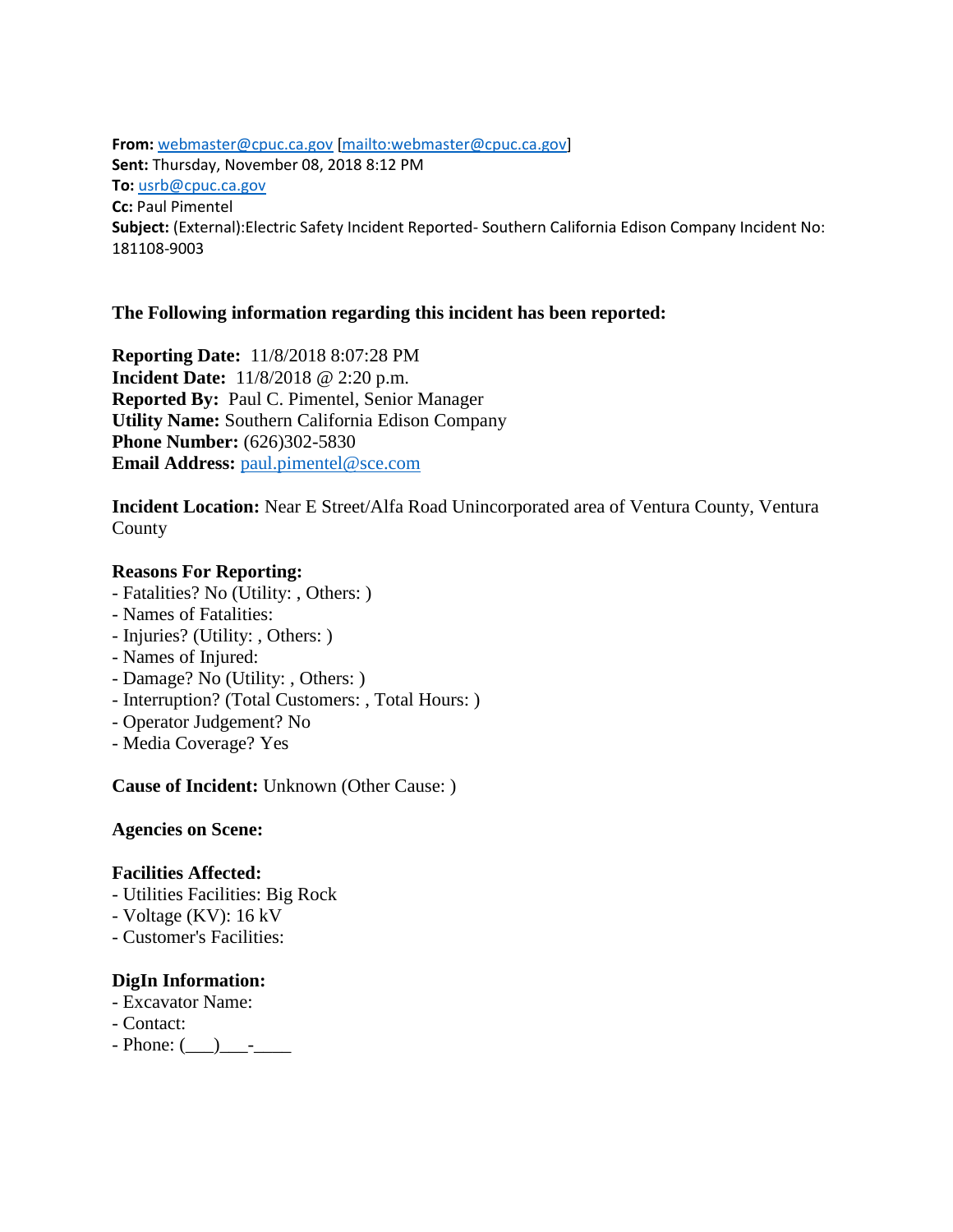**From:** [webmaster@cpuc.ca.gov](mailto:webmaster@cpuc.ca.gov) [\[mailto:webmaster@cpuc.ca.gov\]](mailto:webmaster@cpuc.ca.gov) **Sent:** Thursday, November 08, 2018 8:12 PM **To:** [usrb@cpuc.ca.gov](mailto:usrb@cpuc.ca.gov) **Cc:** Paul Pimentel **Subject:** (External):Electric Safety Incident Reported- Southern California Edison Company Incident No: 181108-9003

# **The Following information regarding this incident has been reported:**

**Reporting Date:** 11/8/2018 8:07:28 PM **Incident Date:** 11/8/2018 @ 2:20 p.m. **Reported By:** Paul C. Pimentel, Senior Manager **Utility Name:** Southern California Edison Company **Phone Number: (626)302-5830 Email Address: [paul.pimentel@sce.com](mailto:paul.pimentel@sce.com)** 

**Incident Location:** Near E Street/Alfa Road Unincorporated area of Ventura County, Ventura County

## **Reasons For Reporting:**

- Fatalities? No (Utility: , Others: )
- Names of Fatalities:
- Injuries? (Utility: , Others: )
- Names of Injured:
- Damage? No (Utility: , Others: )
- Interruption? (Total Customers: , Total Hours: )
- Operator Judgement? No
- Media Coverage? Yes

**Cause of Incident:** Unknown (Other Cause: )

**Agencies on Scene:** 

#### **Facilities Affected:**

- Utilities Facilities: Big Rock
- Voltage (KV): 16 kV
- Customer's Facilities:

# **DigIn Information:**

- Excavator Name:
- Contact:
- $-$  Phone:  $($   $)$   $-$